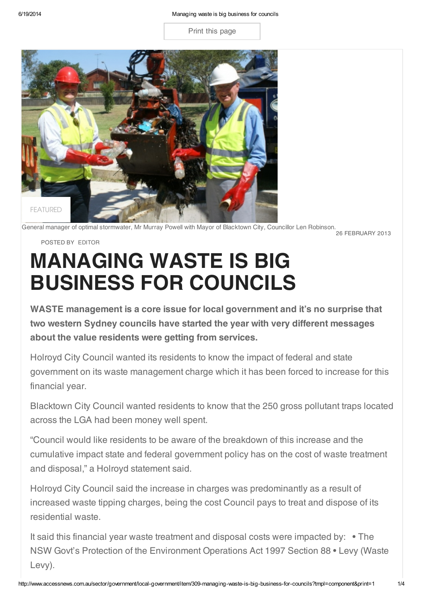Print this page



.<br>26 FEBRUARY 2013 General manager of optimal stormwater, Mr Murray Powell with Mayor of Blacktown City, Councillor Len Robinson.

## POSTED BY [EDITOR](http://www.accessnews.com.au/sector/government/local-government/itemlist/user/63-editor)

## MANAGING WASTE IS BIG BUSINESS FOR COUNCILS

WASTE management is a core issue for local government and it's no surprise that two western Sydney councils have started the year with very different messages about the value residents were getting from services.

Holroyd City Council wanted its residents to know the impact of federal and state government on its waste management charge which it has been forced to increase for this financial year.

Blacktown City Council wanted residents to know that the 250 gross pollutant traps located across the LGA had been money well spent.

"Council would like residents to be aware of the breakdown of this increase and the cumulative impact state and federal government policy has on the cost of waste treatment and disposal," a Holroyd statement said.

Holroyd City Council said the increase in charges was predominantly as a result of increased waste tipping charges, being the cost Council pays to treat and dispose of its residential waste.

It said this financial year waste treatment and disposal costs were impacted by: • The NSW Govt's Protection of the Environment Operations Act 1997 Section 88 • Levy (Waste Levy).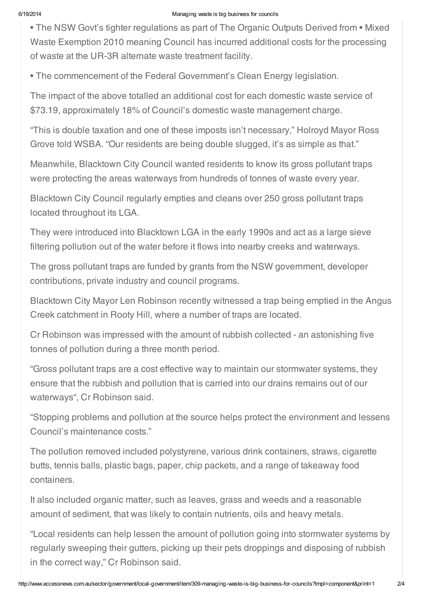## 6/19/2014 Managing waste is big business for councils

• The NSW Govt's tighter regulations as part of The Organic Outputs Derived from • Mixed Waste Exemption 2010 meaning Council has incurred additional costs for the processing of waste at the UR-3R alternate waste treatment facility.

• The commencement of the Federal Government's Clean Energy legislation.

The impact of the above totalled an additional cost for each domestic waste service of \$73.19, approximately 18% of Council's domestic waste management charge.

"This is double taxation and one of these imposts isn't necessary," Holroyd Mayor Ross Grove told WSBA. "Our residents are being double slugged, it's as simple as that."

Meanwhile, Blacktown City Council wanted residents to know its gross pollutant traps were protecting the areas waterways from hundreds of tonnes of waste every year.

Blacktown City Council regularly empties and cleans over 250 gross pollutant traps located throughout its LGA.

They were introduced into Blacktown LGA in the early 1990s and act as a large sieve filtering pollution out of the water before it flows into nearby creeks and waterways.

The gross pollutant traps are funded by grants from the NSW government, developer contributions, private industry and council programs.

Blacktown City Mayor Len Robinson recently witnessed a trap being emptied in the Angus Creek catchment in Rooty Hill, where a number of traps are located.

Cr Robinson was impressed with the amount of rubbish collected - an astonishing five tonnes of pollution during a three month period.

"Gross pollutant traps are a cost effective way to maintain our stormwater systems, they ensure that the rubbish and pollution that is carried into our drains remains out of our waterways", Cr Robinson said.

"Stopping problems and pollution at the source helps protect the environment and lessens Council's maintenance costs."

The pollution removed included polystyrene, various drink containers, straws, cigarette butts, tennis balls, plastic bags, paper, chip packets, and a range of takeaway food containers.

It also included organic matter, such as leaves, grass and weeds and a reasonable amount of sediment, that was likely to contain nutrients, oils and heavy metals.

"Local residents can help lessen the amount of pollution going into stormwater systems by regularly sweeping their gutters, picking up their pets droppings and disposing of rubbish in the correct way," Cr Robinson said.